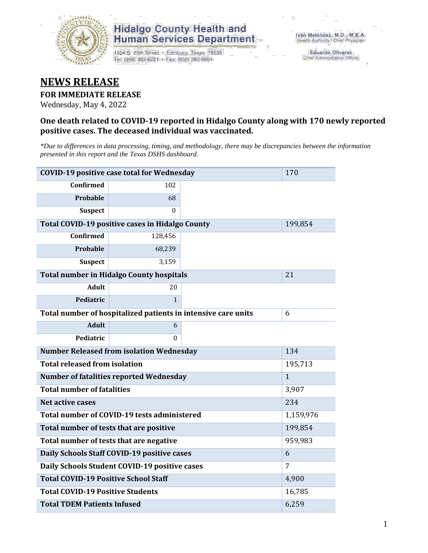

## **Hidalgo County Health and Human Services Department**

1304 S. 25th Street · Edinburg, Texas 78539 Tel: (956) 383-6221 · Fax: (956) 383-8864

**Eduardo Olivarez** Chief Administrative Officer

## **NEWS RELEASE**

### **FOR IMMEDIATE RELEASE**

Wednesday, May 4, 2022

### **One death related to COVID-19 reported in Hidalgo County along with 170 newly reported positive cases. The deceased individual was vaccinated.**

*\*Due to differences in data processing, timing, and methodology, there may be discrepancies between the information presented in this report and the Texas DSHS dashboard.*

| <b>COVID-19 positive case total for Wednesday</b><br>170      |                                                        |              |         |  |  |
|---------------------------------------------------------------|--------------------------------------------------------|--------------|---------|--|--|
| <b>Confirmed</b>                                              | 102                                                    |              |         |  |  |
| <b>Probable</b>                                               | 68                                                     |              |         |  |  |
| <b>Suspect</b>                                                | 0                                                      |              |         |  |  |
|                                                               | <b>Total COVID-19 positive cases in Hidalgo County</b> |              | 199,854 |  |  |
| <b>Confirmed</b>                                              | 128,456                                                |              |         |  |  |
| Probable                                                      | 68,239                                                 |              |         |  |  |
| <b>Suspect</b>                                                | 3,159                                                  |              |         |  |  |
|                                                               | <b>Total number in Hidalgo County hospitals</b>        |              | 21      |  |  |
| <b>Adult</b>                                                  | 20                                                     |              |         |  |  |
| Pediatric                                                     | $\mathbf{1}$                                           |              |         |  |  |
| Total number of hospitalized patients in intensive care units | 6                                                      |              |         |  |  |
| <b>Adult</b>                                                  | 6                                                      |              |         |  |  |
| Pediatric                                                     | 0                                                      |              |         |  |  |
| <b>Number Released from isolation Wednesday</b>               | 134                                                    |              |         |  |  |
| <b>Total released from isolation</b>                          | 195,713                                                |              |         |  |  |
| <b>Number of fatalities reported Wednesday</b>                |                                                        | $\mathbf{1}$ |         |  |  |
| <b>Total number of fatalities</b>                             |                                                        | 3,907        |         |  |  |
| Net active cases                                              |                                                        | 234          |         |  |  |
| Total number of COVID-19 tests administered                   |                                                        | 1,159,976    |         |  |  |
| Total number of tests that are positive                       | 199,854                                                |              |         |  |  |
| Total number of tests that are negative                       | 959,983                                                |              |         |  |  |
| Daily Schools Staff COVID-19 positive cases                   | 6                                                      |              |         |  |  |
| Daily Schools Student COVID-19 positive cases                 | 7                                                      |              |         |  |  |
| <b>Total COVID-19 Positive School Staff</b>                   | 4,900                                                  |              |         |  |  |
| <b>Total COVID-19 Positive Students</b>                       | 16,785                                                 |              |         |  |  |
| <b>Total TDEM Patients Infused</b>                            | 6,259                                                  |              |         |  |  |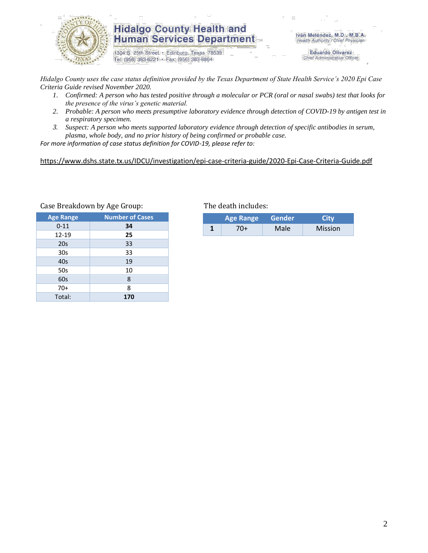

## **Hidalgo County Health and Human Services Department**

1304 S. 25th Street · Edinburg, Texas 78539 Tel: (956) 383-6221 · Fax: (956) 383-8864

Iván Meléndez, M.D., M.B.A. Health Authority / Chief Physician

> **Eduardo Olivarez** Chief Administrative Officer

*Hidalgo County uses the case status definition provided by the Texas Department of State Health Service's 2020 Epi Case Criteria Guide revised November 2020.*

- *1. Confirmed: A person who has tested positive through a molecular or PCR (oral or nasal swabs) test that looks for the presence of the virus's genetic material.*
- *2. Probable: A person who meets presumptive laboratory evidence through detection of COVID-19 by antigen test in a respiratory specimen.*
- *3. Suspect: A person who meets supported laboratory evidence through detection of specific antibodies in serum, plasma, whole body, and no prior history of being confirmed or probable case.*

*For more information of case status definition for COVID-19, please refer to:*

<https://www.dshs.state.tx.us/IDCU/investigation/epi-case-criteria-guide/2020-Epi-Case-Criteria-Guide.pdf>

| <b>Age Range</b> | <b>Number of Cases</b> |
|------------------|------------------------|
| $0 - 11$         | 34                     |
| 12-19            | 25                     |
| 20s              | 33                     |
| 30 <sub>s</sub>  | 33                     |
| 40s              | 19                     |
| 50s              | 10                     |
| 60s              | 8                      |
| $70+$            | 8                      |
| Total:           | 170                    |

#### Case Breakdown by Age Group: The death includes:

| <b>Age Range</b> |     | Gender | City           |  |  |
|------------------|-----|--------|----------------|--|--|
|                  | 70+ | Male   | <b>Mission</b> |  |  |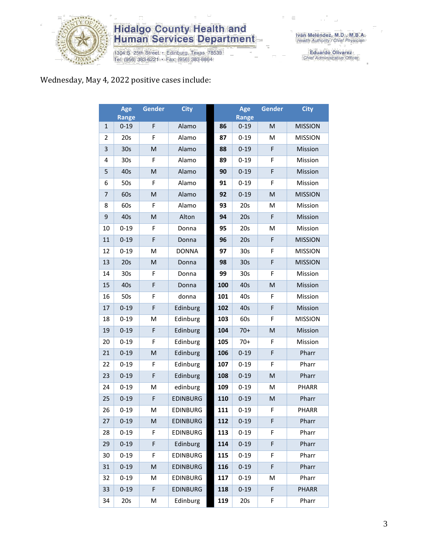

# **Hidalgo County Health and<br>Human Services Department**

1304 S. 25th Street • Edinburg, Texas 78539<br>Tel: (956) 383-6221 • Fax: (956) 383-8864

Eduardo Olivarez<br>Chief Administrative Officer

### Wednesday, May 4, 2022 positive cases include:

|                | Age<br><b>Range</b> | Gender | <b>City</b>     |     | Age<br><b>Range</b> | <b>Gender</b> | <b>City</b>    |
|----------------|---------------------|--------|-----------------|-----|---------------------|---------------|----------------|
| 1              | $0 - 19$            | F      | Alamo           | 86  | $0 - 19$            | M             | <b>MISSION</b> |
| 2              | 20s                 | F      | Alamo           | 87  | $0 - 19$            | M             | <b>MISSION</b> |
| 3              | 30s                 | M      | Alamo           | 88  | $0 - 19$            | F             | Mission        |
| 4              | 30s                 | F      | Alamo           | 89  | $0 - 19$            | F             | Mission        |
| 5              | 40s                 | M      | Alamo           | 90  | $0 - 19$            | F             | Mission        |
| 6              | 50s                 | F      | Alamo           | 91  | $0 - 19$            | F             | Mission        |
| $\overline{7}$ | 60s                 | M      | Alamo           | 92  | $0 - 19$            | M             | <b>MISSION</b> |
| 8              | 60s                 | F      | Alamo           | 93  | 20s                 | M             | Mission        |
| 9              | 40s                 | M      | Alton           | 94  | 20s                 | F             | Mission        |
| 10             | $0 - 19$            | F      | Donna           | 95  | 20s                 | M             | Mission        |
| 11             | $0 - 19$            | F      | Donna           | 96  | 20s                 | F             | <b>MISSION</b> |
| 12             | $0 - 19$            | M      | <b>DONNA</b>    | 97  | 30 <sub>s</sub>     | F             | <b>MISSION</b> |
| 13             | 20s                 | M      | Donna           | 98  | 30 <sub>s</sub>     | F             | <b>MISSION</b> |
| 14             | 30s                 | F      | Donna           | 99  | 30 <sub>s</sub>     | F             | Mission        |
| 15             | 40s                 | F      | Donna           | 100 | 40s                 | M             | Mission        |
| 16             | 50s                 | F      | donna           | 101 | 40s                 | F             | Mission        |
| 17             | $0 - 19$            | F      | Edinburg        | 102 | 40s                 | F             | Mission        |
| 18             | $0 - 19$            | M      | Edinburg        | 103 | 60s                 | F             | <b>MISSION</b> |
| 19             | $0 - 19$            | F      | Edinburg        | 104 | $70+$               | M             | Mission        |
| 20             | $0 - 19$            | F      | Edinburg        | 105 | $70+$               | F             | Mission        |
| 21             | $0 - 19$            | M      | Edinburg        | 106 | $0 - 19$            | F             | Pharr          |
| 22             | $0 - 19$            | F      | Edinburg        | 107 | $0 - 19$            | F             | Pharr          |
| 23             | $0 - 19$            | F      | Edinburg        | 108 | $0 - 19$            | M             | Pharr          |
| 24             | $0 - 19$            | M      | edinburg        | 109 | $0 - 19$            | M             | PHARR          |
| 25             | $0 - 19$            | F      | <b>EDINBURG</b> | 110 | $0 - 19$            | M             | Pharr          |
| 26             | $0 - 19$            | M      | <b>EDINBURG</b> | 111 | $0 - 19$            | F             | <b>PHARR</b>   |
| 27             | $0 - 19$            | M      | <b>EDINBURG</b> | 112 | $0 - 19$            | F             | Pharr          |
| 28             | $0 - 19$            | F      | <b>EDINBURG</b> | 113 | $0 - 19$            | F             | Pharr          |
| 29             | $0 - 19$            | F      | Edinburg        | 114 | $0 - 19$            | F             | Pharr          |
| 30             | $0 - 19$            | F      | <b>EDINBURG</b> | 115 | $0 - 19$            | F             | Pharr          |
| 31             | $0 - 19$            | M      | <b>EDINBURG</b> | 116 | $0 - 19$            | F             | Pharr          |
| 32             | $0 - 19$            | M      | <b>EDINBURG</b> | 117 | $0 - 19$            | M             | Pharr          |
| 33             | $0 - 19$            | F      | <b>EDINBURG</b> | 118 | $0 - 19$            | F             | <b>PHARR</b>   |
| 34             | 20s                 | M      | Edinburg        | 119 | 20s                 | F             | Pharr          |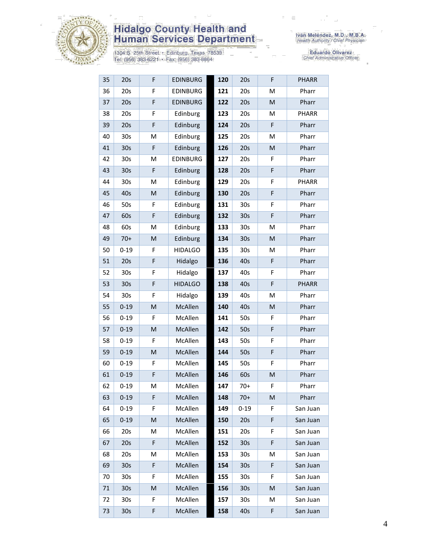

# **Hidalgo County Health and<br>Human Services Department**

1304 S. 25th Street • Edinburg, Texas 78539<br>Tel: (956) 383-6221 • Fax: (956) 383-8864

Iván Meléndez, M.D., M.B.A.<br>Health Authority / Chief Physician

Eduardo Olivarez<br>Chief Administrative Officer

| 35 | 20s             | F | <b>EDINBURG</b> | 120 | 20s             | F | <b>PHARR</b> |
|----|-----------------|---|-----------------|-----|-----------------|---|--------------|
| 36 | 20s             | F | <b>EDINBURG</b> | 121 | 20s             | M | Pharr        |
| 37 | 20s             | F | <b>EDINBURG</b> | 122 | 20s             | M | Pharr        |
| 38 | 20s             | F | Edinburg        | 123 | 20s             | M | PHARR        |
| 39 | 20s             | F | Edinburg        | 124 | 20s             | F | Pharr        |
| 40 | 30 <sub>s</sub> | M | Edinburg        | 125 | 20s             | M | Pharr        |
| 41 | 30 <sub>s</sub> | F | Edinburg        | 126 | 20s             | M | Pharr        |
| 42 | 30s             | M | <b>EDINBURG</b> | 127 | 20s             | F | Pharr        |
| 43 | 30 <sub>s</sub> | F | Edinburg        | 128 | 20s             | F | Pharr        |
| 44 | 30s             | Μ | Edinburg        | 129 | 20s             | F | PHARR        |
| 45 | 40s             | M | Edinburg        | 130 | 20s             | F | Pharr        |
| 46 | 50s             | F | Edinburg        | 131 | 30 <sub>s</sub> | F | Pharr        |
| 47 | 60s             | F | Edinburg        | 132 | 30 <sub>s</sub> | F | Pharr        |
| 48 | 60s             | M | Edinburg        | 133 | 30 <sub>s</sub> | M | Pharr        |
| 49 | $70+$           | M | Edinburg        | 134 | 30 <sub>s</sub> | M | Pharr        |
| 50 | $0 - 19$        | F | <b>HIDALGO</b>  | 135 | 30 <sub>s</sub> | M | Pharr        |
| 51 | 20s             | F | Hidalgo         | 136 | 40s             | F | Pharr        |
| 52 | 30s             | F | Hidalgo         | 137 | 40s             | F | Pharr        |
| 53 | 30s             | F | <b>HIDALGO</b>  | 138 | 40s             | F | <b>PHARR</b> |
| 54 | 30s             | F | Hidalgo         | 139 | 40s             | M | Pharr        |
| 55 | $0 - 19$        | M | McAllen         | 140 | 40s             | M | Pharr        |
| 56 | $0 - 19$        | F | McAllen         | 141 | 50s             | F | Pharr        |
| 57 | $0 - 19$        | M | McAllen         | 142 | 50s             | F | Pharr        |
| 58 | $0 - 19$        | F | McAllen         | 143 | 50s             | F | Pharr        |
| 59 | $0 - 19$        | M | McAllen         | 144 | 50s             | F | Pharr        |
| 60 | $0 - 19$        | F | McAllen         | 145 | 50s             | F | Pharr        |
| 61 | $0 - 19$        | F | McAllen         | 146 | 60s             | M | Pharr        |
| 62 | $0 - 19$        | M | McAllen         | 147 | $70+$           | F | Pharr        |
| 63 | $0 - 19$        | F | McAllen         | 148 | $70+$           | M | Pharr        |
| 64 | $0 - 19$        | F | McAllen         | 149 | $0 - 19$        | F | San Juan     |
| 65 | $0 - 19$        | M | McAllen         | 150 | 20s             | F | San Juan     |
| 66 | 20s             | М | McAllen         | 151 | 20s             | F | San Juan     |
| 67 | 20s             | F | McAllen         | 152 | 30 <sub>s</sub> | F | San Juan     |
| 68 | 20s             | M | McAllen         | 153 | 30 <sub>s</sub> | Μ | San Juan     |
| 69 | 30 <sub>s</sub> | F | McAllen         | 154 | 30 <sub>s</sub> | F | San Juan     |
| 70 | 30s             | F | McAllen         | 155 | 30 <sub>s</sub> | F | San Juan     |
| 71 | 30 <sub>s</sub> | M | McAllen         | 156 | 30 <sub>s</sub> | M | San Juan     |
| 72 | 30s             | F | McAllen         | 157 | 30s             | M | San Juan     |
| 73 | 30 <sub>s</sub> | F | McAllen         | 158 | 40s             | F | San Juan     |